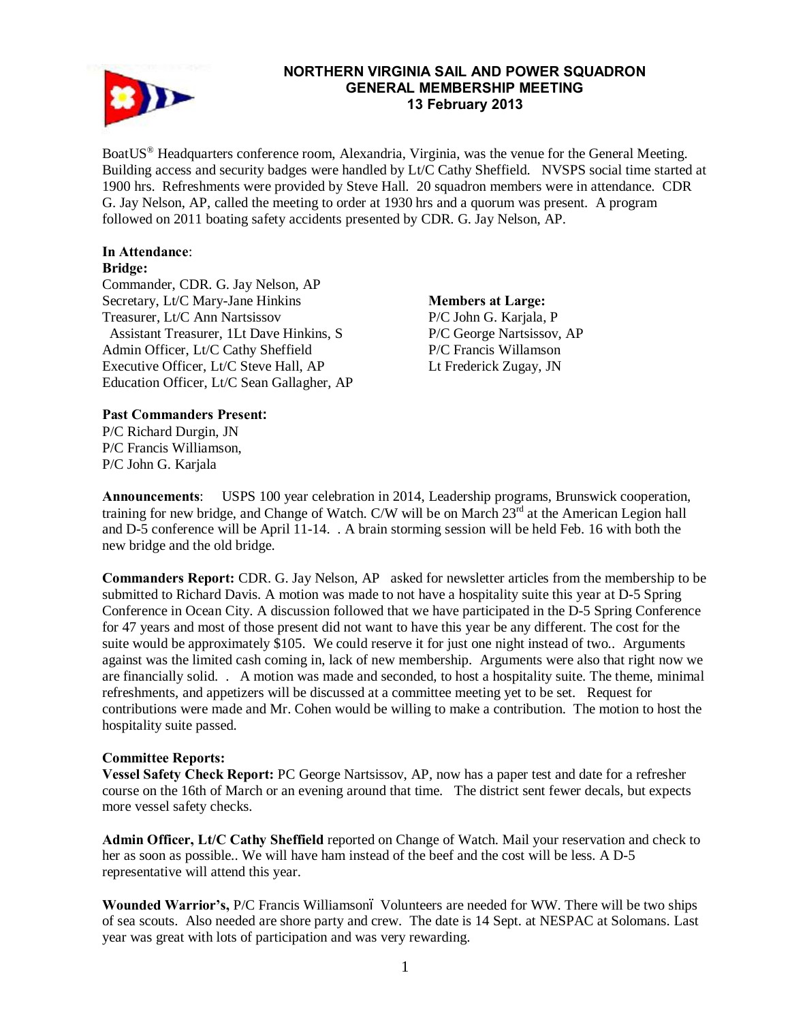

#### **NORTHERN VIRGINIA SAIL AND POWER SQUADRON GENERAL MEMBERSHIP MEETING 13 February 2013**

BoatUS<sup>®</sup> Headquarters conference room, Alexandria, Virginia, was the venue for the General Meeting. Building access and security badges were handled by Lt/C Cathy Sheffield. NVSPS social time started at 1900 hrs. Refreshments were provided by Steve Hall. 20 squadron members were in attendance. CDR G. Jay Nelson, AP, called the meeting to order at 1930 hrs and a quorum was present. A program followed on 2011 boating safety accidents presented by CDR. G. Jay Nelson, AP.

# **In Attendance**:

#### **Bridge:**

Commander, CDR. G. Jay Nelson, AP Secretary, Lt/C Mary-Jane Hinkins Treasurer, Lt/C Ann Nartsissov Assistant Treasurer, 1Lt Dave Hinkins, S Admin Officer, Lt/C Cathy Sheffield Executive Officer, Lt/C Steve Hall, AP Education Officer, Lt/C Sean Gallagher, AP

**Members at Large:**  P/C John G. Karjala, P P/C George Nartsissov, AP P/C Francis Willamson Lt Frederick Zugay, JN

## **Past Commanders Present:**

P/C Richard Durgin, JN P/C Francis Williamson, P/C John G. Karjala

**Announcements**: USPS 100 year celebration in 2014, Leadership programs, Brunswick cooperation, training for new bridge, and Change of Watch. C/W will be on March 23<sup>rd</sup> at the American Legion hall and D-5 conference will be April 11-14. . A brain storming session will be held Feb. 16 with both the new bridge and the old bridge.

**Commanders Report:** CDR. G. Jay Nelson, AP asked for newsletter articles from the membership to be submitted to Richard Davis. A motion was made to not have a hospitality suite this year at D-5 Spring Conference in Ocean City. A discussion followed that we have participated in the D-5 Spring Conference for 47 years and most of those present did not want to have this year be any different. The cost for the suite would be approximately \$105. We could reserve it for just one night instead of two.. Arguments against was the limited cash coming in, lack of new membership. Arguments were also that right now we are financially solid. . A motion was made and seconded, to host a hospitality suite. The theme, minimal refreshments, and appetizers will be discussed at a committee meeting yet to be set. Request for contributions were made and Mr. Cohen would be willing to make a contribution. The motion to host the hospitality suite passed.

## **Committee Reports:**

**Vessel Safety Check Report:** PC George Nartsissov, AP, now has a paper test and date for a refresher course on the 16th of March or an evening around that time. The district sent fewer decals, but expects more vessel safety checks.

**Admin Officer, Lt/C Cathy Sheffield** reported on Change of Watch. Mail your reservation and check to her as soon as possible.. We will have ham instead of the beef and the cost will be less. A D-5 representative will attend this year.

**Wounded Warrior's,** P/C Francis Williamson– Volunteers are needed for WW. There will be two ships of sea scouts. Also needed are shore party and crew. The date is 14 Sept. at NESPAC at Solomans. Last year was great with lots of participation and was very rewarding.